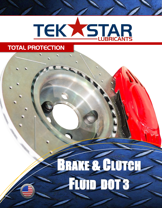# TEKYSTAR

## TOTAL PROTECTION

# BRAKE & CLUTCH FLUID DOT 3